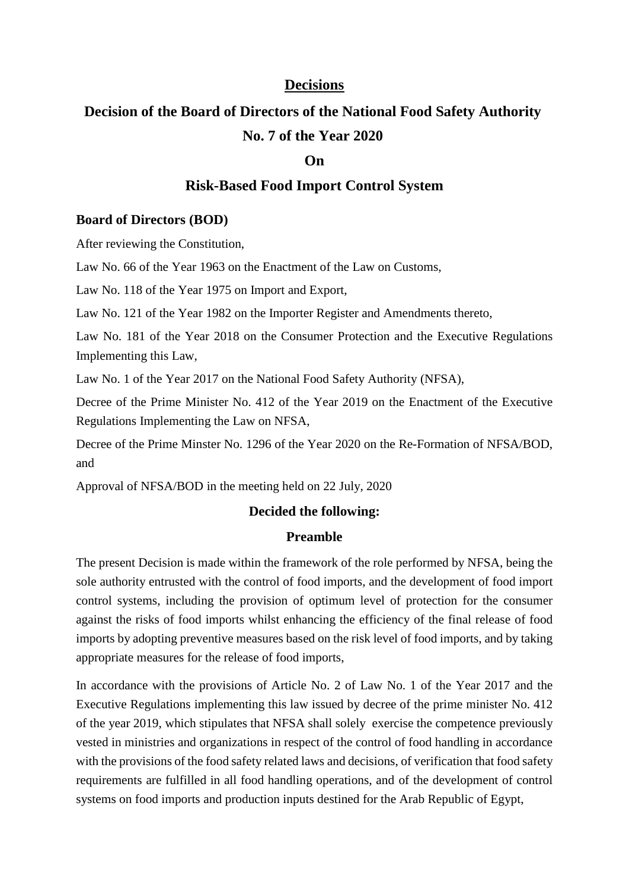#### **Decisions**

# **Decision of the Board of Directors of the National Food Safety Authority No. 7 of the Year 2020**

#### **On**

#### **Risk-Based Food Import Control System**

#### **Board of Directors (BOD)**

After reviewing the Constitution,

Law No. 66 of the Year 1963 on the Enactment of the Law on Customs,

Law No. 118 of the Year 1975 on Import and Export,

Law No. 121 of the Year 1982 on the Importer Register and Amendments thereto,

Law No. 181 of the Year 2018 on the Consumer Protection and the Executive Regulations Implementing this Law,

Law No. 1 of the Year 2017 on the National Food Safety Authority (NFSA),

Decree of the Prime Minister No. 412 of the Year 2019 on the Enactment of the Executive Regulations Implementing the Law on NFSA,

Decree of the Prime Minster No. 1296 of the Year 2020 on the Re-Formation of NFSA/BOD, and

Approval of NFSA/BOD in the meeting held on 22 July, 2020

#### **Decided the following:**

#### **Preamble**

The present Decision is made within the framework of the role performed by NFSA, being the sole authority entrusted with the control of food imports, and the development of food import control systems, including the provision of optimum level of protection for the consumer against the risks of food imports whilst enhancing the efficiency of the final release of food imports by adopting preventive measures based on the risk level of food imports, and by taking appropriate measures for the release of food imports,

In accordance with the provisions of Article No. 2 of Law No. 1 of the Year 2017 and the Executive Regulations implementing this law issued by decree of the prime minister No. 412 of the year 2019, which stipulates that NFSA shall solely exercise the competence previously vested in ministries and organizations in respect of the control of food handling in accordance with the provisions of the food safety related laws and decisions, of verification that food safety requirements are fulfilled in all food handling operations, and of the development of control systems on food imports and production inputs destined for the Arab Republic of Egypt,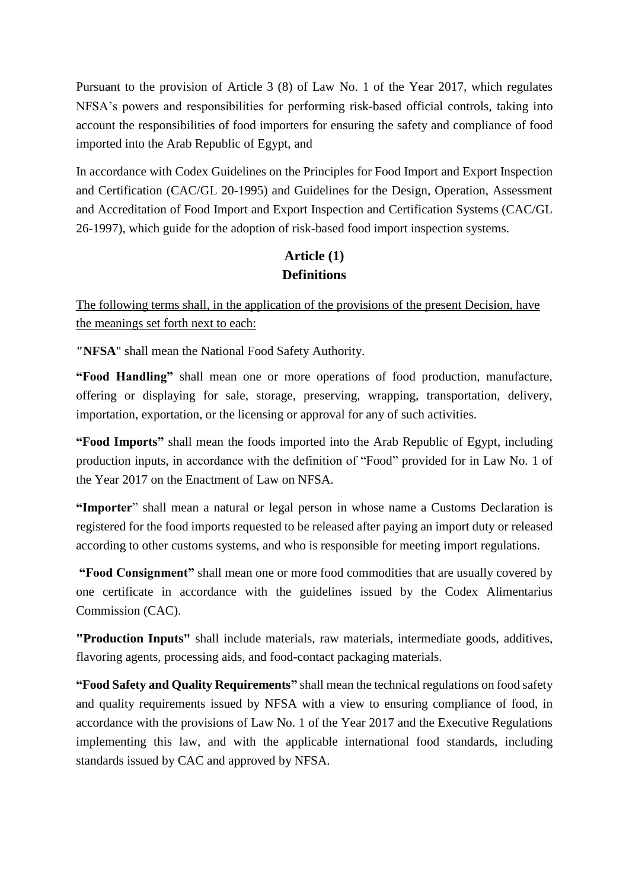Pursuant to the provision of Article 3 (8) of Law No. 1 of the Year 2017, which regulates NFSA's powers and responsibilities for performing risk-based official controls, taking into account the responsibilities of food importers for ensuring the safety and compliance of food imported into the Arab Republic of Egypt, and

In accordance with Codex Guidelines on the Principles for Food Import and Export Inspection and Certification (CAC/GL 20-1995) and Guidelines for the Design, Operation, Assessment and Accreditation of Food Import and Export Inspection and Certification Systems (CAC/GL 26-1997), which guide for the adoption of risk-based food import inspection systems.

# **Article (1) Definitions**

The following terms shall, in the application of the provisions of the present Decision, have the meanings set forth next to each:

**"NFSA**" shall mean the National Food Safety Authority.

**"Food Handling"** shall mean one or more operations of food production, manufacture, offering or displaying for sale, storage, preserving, wrapping, transportation, delivery, importation, exportation, or the licensing or approval for any of such activities.

**"Food Imports"** shall mean the foods imported into the Arab Republic of Egypt, including production inputs, in accordance with the definition of "Food" provided for in Law No. 1 of the Year 2017 on the Enactment of Law on NFSA.

**"Importer**" shall mean a natural or legal person in whose name a Customs Declaration is registered for the food imports requested to be released after paying an import duty or released according to other customs systems, and who is responsible for meeting import regulations.

**"Food Consignment"** shall mean one or more food commodities that are usually covered by one certificate in accordance with the guidelines issued by the Codex Alimentarius Commission (CAC).

**"Production Inputs"** shall include materials, raw materials, intermediate goods, additives, flavoring agents, processing aids, and food-contact packaging materials.

**"Food Safety and Quality Requirements"** shall mean the technical regulations on food safety and quality requirements issued by NFSA with a view to ensuring compliance of food, in accordance with the provisions of Law No. 1 of the Year 2017 and the Executive Regulations implementing this law, and with the applicable international food standards, including standards issued by CAC and approved by NFSA.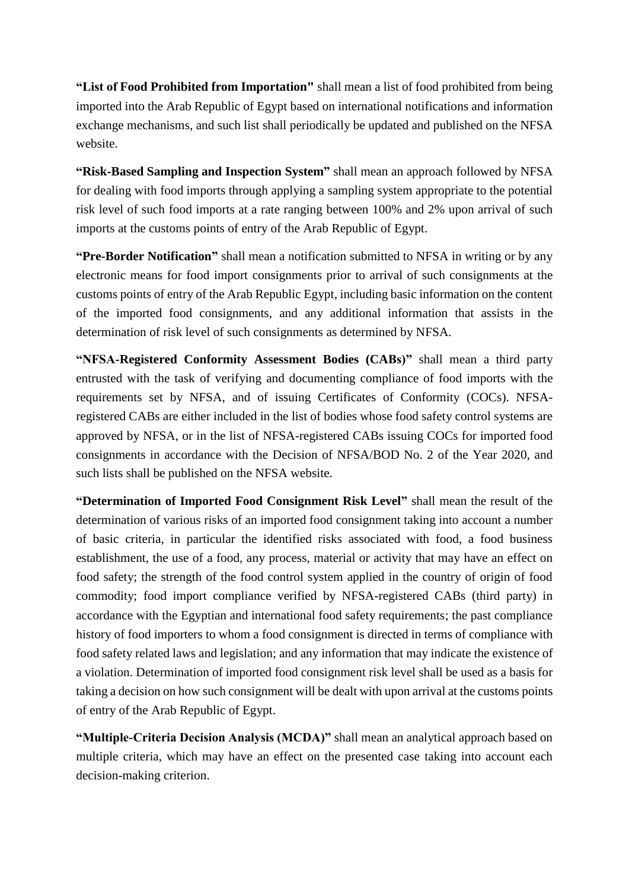**"List of Food Prohibited from Importation"** shall mean a list of food prohibited from being imported into the Arab Republic of Egypt based on international notifications and information exchange mechanisms, and such list shall periodically be updated and published on the NFSA website.

**"Risk-Based Sampling and Inspection System"** shall mean an approach followed by NFSA for dealing with food imports through applying a sampling system appropriate to the potential risk level of such food imports at a rate ranging between 100% and 2% upon arrival of such imports at the customs points of entry of the Arab Republic of Egypt.

**"Pre-Border Notification"** shall mean a notification submitted to NFSA in writing or by any electronic means for food import consignments prior to arrival of such consignments at the customs points of entry of the Arab Republic Egypt, including basic information on the content of the imported food consignments, and any additional information that assists in the determination of risk level of such consignments as determined by NFSA.

**"NFSA-Registered Conformity Assessment Bodies (CABs)"** shall mean a third party entrusted with the task of verifying and documenting compliance of food imports with the requirements set by NFSA, and of issuing Certificates of Conformity (COCs). NFSAregistered CABs are either included in the list of bodies whose food safety control systems are approved by NFSA, or in the list of NFSA-registered CABs issuing COCs for imported food consignments in accordance with the Decision of NFSA/BOD No. 2 of the Year 2020, and such lists shall be published on the NFSA website.

**"Determination of Imported Food Consignment Risk Level"** shall mean the result of the determination of various risks of an imported food consignment taking into account a number of basic criteria, in particular the identified risks associated with food, a food business establishment, the use of a food, any process, material or activity that may have an effect on food safety; the strength of the food control system applied in the country of origin of food commodity; food import compliance verified by NFSA-registered CABs (third party) in accordance with the Egyptian and international food safety requirements; the past compliance history of food importers to whom a food consignment is directed in terms of compliance with food safety related laws and legislation; and any information that may indicate the existence of a violation. Determination of imported food consignment risk level shall be used as a basis for taking a decision on how such consignment will be dealt with upon arrival at the customs points of entry of the Arab Republic of Egypt.

**"Multiple-Criteria Decision Analysis (MCDA)"** shall mean an analytical approach based on multiple criteria, which may have an effect on the presented case taking into account each decision-making criterion.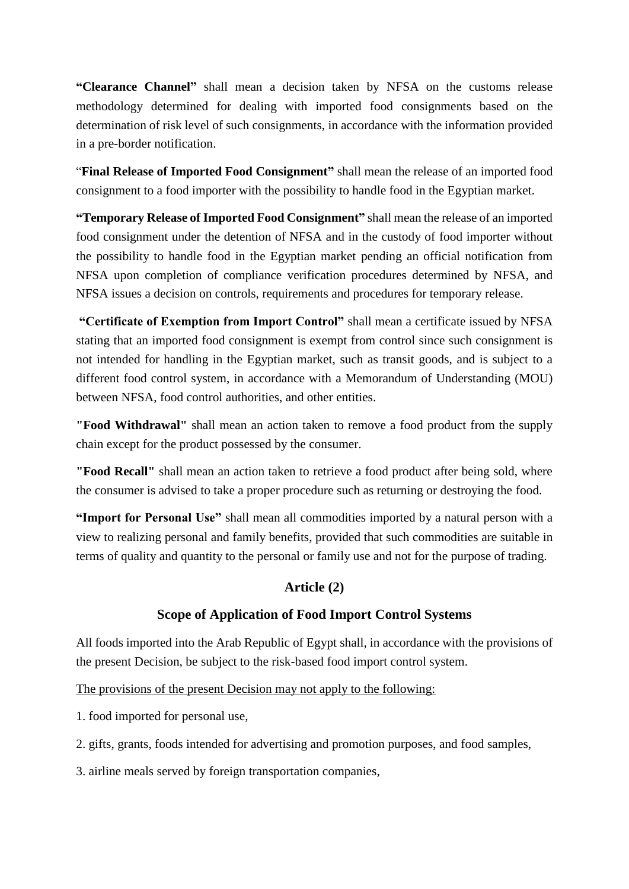**"Clearance Channel"** shall mean a decision taken by NFSA on the customs release methodology determined for dealing with imported food consignments based on the determination of risk level of such consignments, in accordance with the information provided in a pre-border notification.

"**Final Release of Imported Food Consignment"** shall mean the release of an imported food consignment to a food importer with the possibility to handle food in the Egyptian market.

**"Temporary Release of Imported Food Consignment"** shall mean the release of an imported food consignment under the detention of NFSA and in the custody of food importer without the possibility to handle food in the Egyptian market pending an official notification from NFSA upon completion of compliance verification procedures determined by NFSA, and NFSA issues a decision on controls, requirements and procedures for temporary release.

**"Certificate of Exemption from Import Control"** shall mean a certificate issued by NFSA stating that an imported food consignment is exempt from control since such consignment is not intended for handling in the Egyptian market, such as transit goods, and is subject to a different food control system, in accordance with a Memorandum of Understanding (MOU) between NFSA, food control authorities, and other entities.

**"Food Withdrawal"** shall mean an action taken to remove a food product from the supply chain except for the product possessed by the consumer.

**"Food Recall"** shall mean an action taken to retrieve a food product after being sold, where the consumer is advised to take a proper procedure such as returning or destroying the food.

**"Import for Personal Use"** shall mean all commodities imported by a natural person with a view to realizing personal and family benefits, provided that such commodities are suitable in terms of quality and quantity to the personal or family use and not for the purpose of trading.

### **Article (2)**

# **Scope of Application of Food Import Control Systems**

All foods imported into the Arab Republic of Egypt shall, in accordance with the provisions of the present Decision, be subject to the risk-based food import control system.

The provisions of the present Decision may not apply to the following:

- 1. food imported for personal use,
- 2. gifts, grants, foods intended for advertising and promotion purposes, and food samples,
- 3. airline meals served by foreign transportation companies,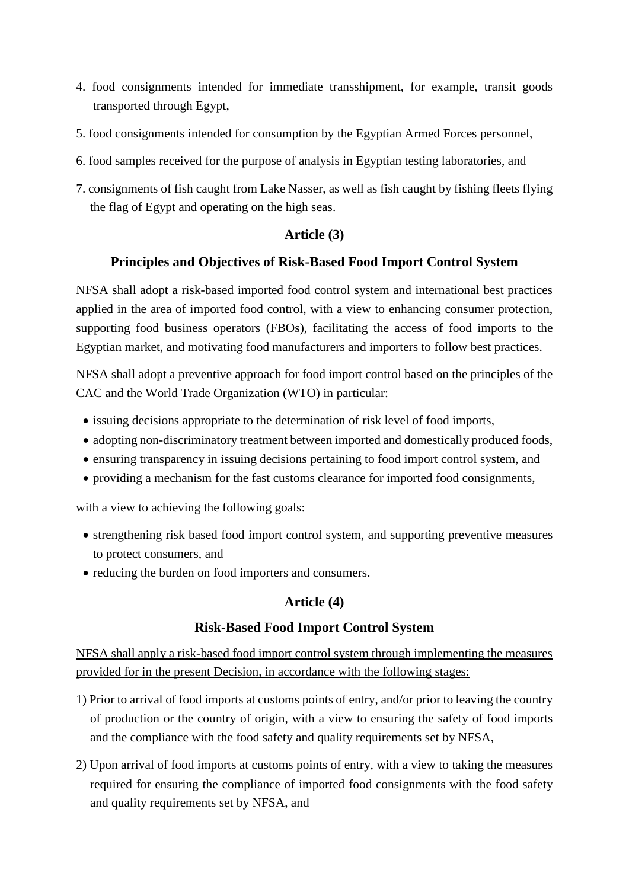- 4. food consignments intended for immediate transshipment, for example, transit goods transported through Egypt,
- 5. food consignments intended for consumption by the Egyptian Armed Forces personnel,
- 6. food samples received for the purpose of analysis in Egyptian testing laboratories, and
- 7. consignments of fish caught from Lake Nasser, as well as fish caught by fishing fleets flying the flag of Egypt and operating on the high seas.

# **Article (3)**

### **Principles and Objectives of Risk-Based Food Import Control System**

NFSA shall adopt a risk-based imported food control system and international best practices applied in the area of imported food control, with a view to enhancing consumer protection, supporting food business operators (FBOs), facilitating the access of food imports to the Egyptian market, and motivating food manufacturers and importers to follow best practices.

NFSA shall adopt a preventive approach for food import control based on the principles of the CAC and the World Trade Organization (WTO) in particular:

- issuing decisions appropriate to the determination of risk level of food imports,
- adopting non-discriminatory treatment between imported and domestically produced foods,
- ensuring transparency in issuing decisions pertaining to food import control system, and
- providing a mechanism for the fast customs clearance for imported food consignments,

with a view to achieving the following goals:

- strengthening risk based food import control system, and supporting preventive measures to protect consumers, and
- reducing the burden on food importers and consumers.

# **Article (4)**

### **Risk-Based Food Import Control System**

NFSA shall apply a risk-based food import control system through implementing the measures provided for in the present Decision, in accordance with the following stages:

- 1) Prior to arrival of food imports at customs points of entry, and/or prior to leaving the country of production or the country of origin, with a view to ensuring the safety of food imports and the compliance with the food safety and quality requirements set by NFSA,
- 2) Upon arrival of food imports at customs points of entry, with a view to taking the measures required for ensuring the compliance of imported food consignments with the food safety and quality requirements set by NFSA, and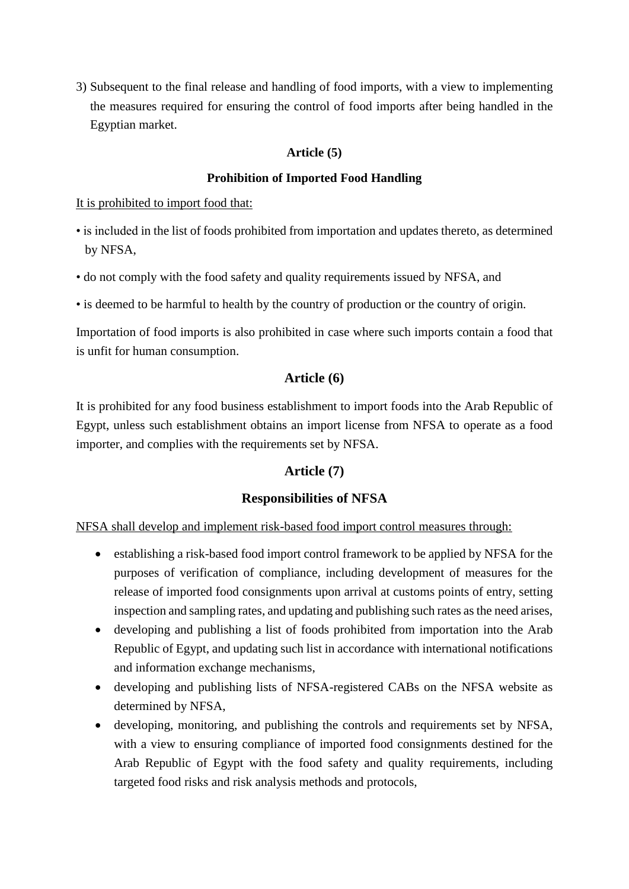3) Subsequent to the final release and handling of food imports, with a view to implementing the measures required for ensuring the control of food imports after being handled in the Egyptian market.

#### **Article (5)**

#### **Prohibition of Imported Food Handling**

It is prohibited to import food that:

- is included in the list of foods prohibited from importation and updates thereto, as determined by NFSA,
- do not comply with the food safety and quality requirements issued by NFSA, and
- is deemed to be harmful to health by the country of production or the country of origin.

Importation of food imports is also prohibited in case where such imports contain a food that is unfit for human consumption.

#### **Article (6)**

It is prohibited for any food business establishment to import foods into the Arab Republic of Egypt, unless such establishment obtains an import license from NFSA to operate as a food importer, and complies with the requirements set by NFSA.

### **Article (7)**

### **Responsibilities of NFSA**

NFSA shall develop and implement risk-based food import control measures through:

- establishing a risk-based food import control framework to be applied by NFSA for the purposes of verification of compliance, including development of measures for the release of imported food consignments upon arrival at customs points of entry, setting inspection and sampling rates, and updating and publishing such rates asthe need arises,
- developing and publishing a list of foods prohibited from importation into the Arab Republic of Egypt, and updating such list in accordance with international notifications and information exchange mechanisms,
- developing and publishing lists of NFSA-registered CABs on the NFSA website as determined by NFSA,
- developing, monitoring, and publishing the controls and requirements set by NFSA, with a view to ensuring compliance of imported food consignments destined for the Arab Republic of Egypt with the food safety and quality requirements, including targeted food risks and risk analysis methods and protocols,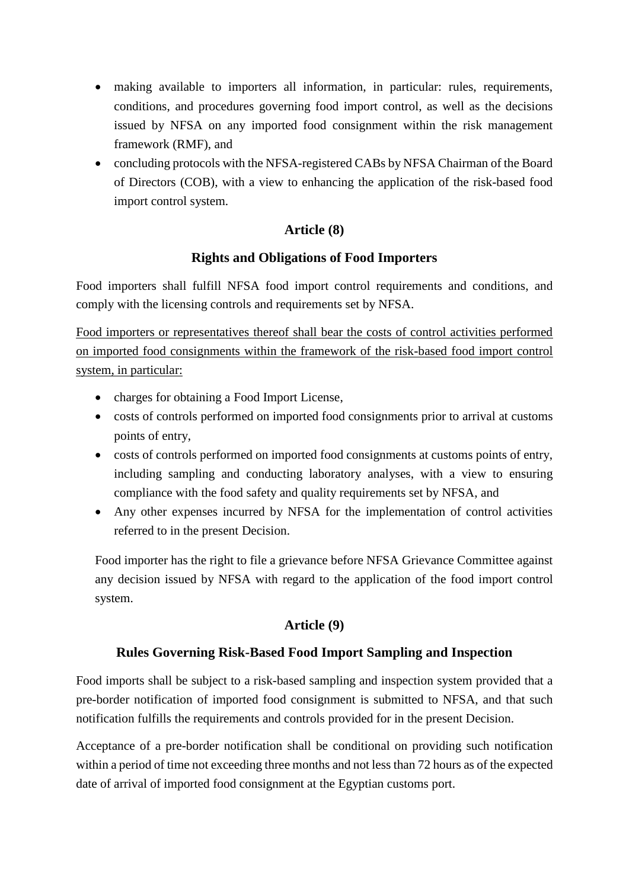- making available to importers all information, in particular: rules, requirements, conditions, and procedures governing food import control, as well as the decisions issued by NFSA on any imported food consignment within the risk management framework (RMF), and
- concluding protocols with the NFSA-registered CABs by NFSA Chairman of the Board of Directors (COB), with a view to enhancing the application of the risk-based food import control system.

# **Article (8)**

# **Rights and Obligations of Food Importers**

Food importers shall fulfill NFSA food import control requirements and conditions, and comply with the licensing controls and requirements set by NFSA.

Food importers or representatives thereof shall bear the costs of control activities performed on imported food consignments within the framework of the risk-based food import control system, in particular:

- charges for obtaining a Food Import License,
- costs of controls performed on imported food consignments prior to arrival at customs points of entry,
- costs of controls performed on imported food consignments at customs points of entry, including sampling and conducting laboratory analyses, with a view to ensuring compliance with the food safety and quality requirements set by NFSA, and
- Any other expenses incurred by NFSA for the implementation of control activities referred to in the present Decision.

Food importer has the right to file a grievance before NFSA Grievance Committee against any decision issued by NFSA with regard to the application of the food import control system.

# **Article (9)**

# **Rules Governing Risk-Based Food Import Sampling and Inspection**

Food imports shall be subject to a risk-based sampling and inspection system provided that a pre-border notification of imported food consignment is submitted to NFSA, and that such notification fulfills the requirements and controls provided for in the present Decision.

Acceptance of a pre-border notification shall be conditional on providing such notification within a period of time not exceeding three months and not less than 72 hours as of the expected date of arrival of imported food consignment at the Egyptian customs port.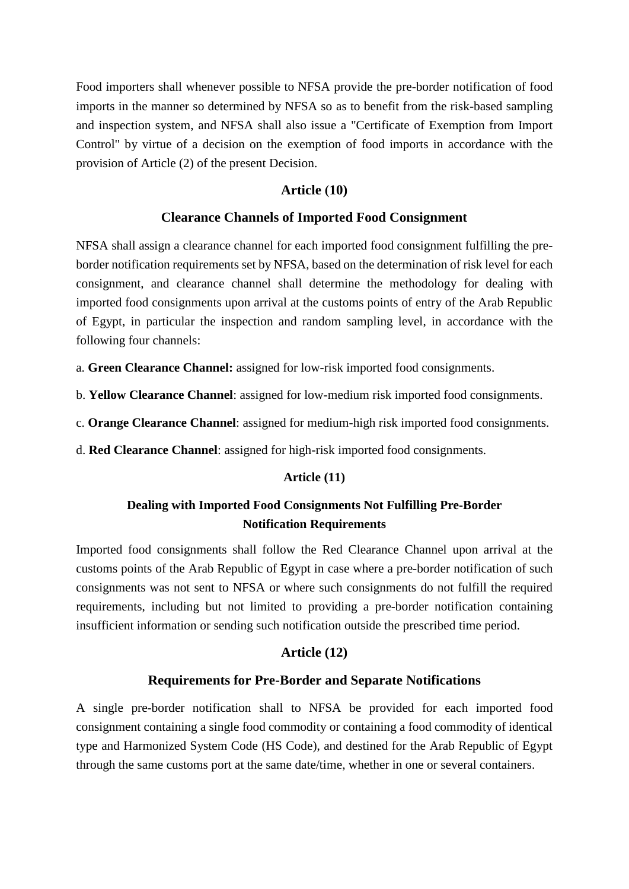Food importers shall whenever possible to NFSA provide the pre-border notification of food imports in the manner so determined by NFSA so as to benefit from the risk-based sampling and inspection system, and NFSA shall also issue a "Certificate of Exemption from Import Control" by virtue of a decision on the exemption of food imports in accordance with the provision of Article (2) of the present Decision.

### **Article )10)**

#### **Clearance Channels of Imported Food Consignment**

NFSA shall assign a clearance channel for each imported food consignment fulfilling the preborder notification requirements set by NFSA, based on the determination of risk level for each consignment, and clearance channel shall determine the methodology for dealing with imported food consignments upon arrival at the customs points of entry of the Arab Republic of Egypt, in particular the inspection and random sampling level, in accordance with the following four channels:

a. **Green Clearance Channel:** assigned for low-risk imported food consignments.

b. **Yellow Clearance Channel**: assigned for low-medium risk imported food consignments.

c. **Orange Clearance Channel**: assigned for medium-high risk imported food consignments.

d. **Red Clearance Channel**: assigned for high-risk imported food consignments.

#### **Article (11)**

# **Dealing with Imported Food Consignments Not Fulfilling Pre-Border Notification Requirements**

Imported food consignments shall follow the Red Clearance Channel upon arrival at the customs points of the Arab Republic of Egypt in case where a pre-border notification of such consignments was not sent to NFSA or where such consignments do not fulfill the required requirements, including but not limited to providing a pre-border notification containing insufficient information or sending such notification outside the prescribed time period.

### **Article (12)**

#### **Requirements for Pre-Border and Separate Notifications**

A single pre-border notification shall to NFSA be provided for each imported food consignment containing a single food commodity or containing a food commodity of identical type and Harmonized System Code (HS Code), and destined for the Arab Republic of Egypt through the same customs port at the same date/time, whether in one or several containers.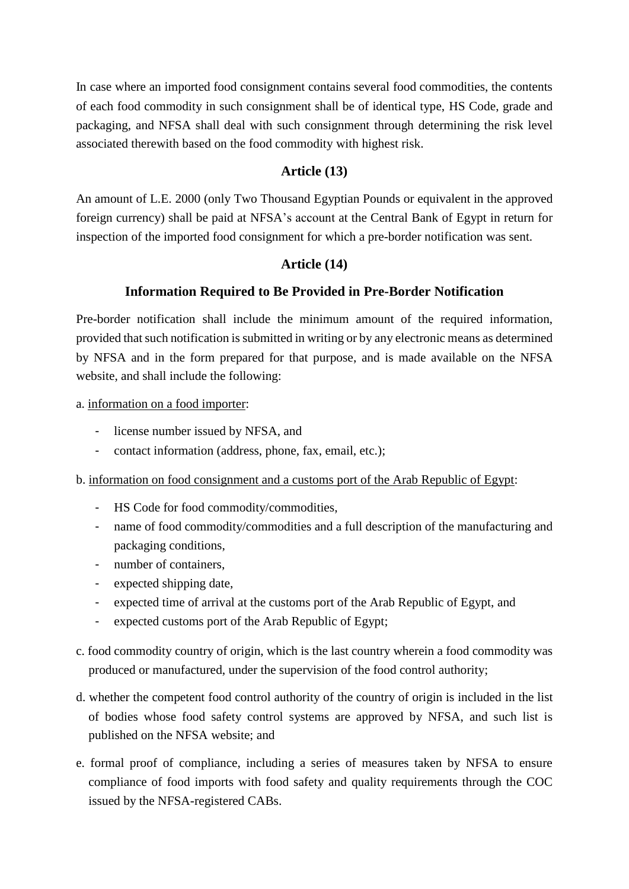In case where an imported food consignment contains several food commodities, the contents of each food commodity in such consignment shall be of identical type, HS Code, grade and packaging, and NFSA shall deal with such consignment through determining the risk level associated therewith based on the food commodity with highest risk.

### **Article (13)**

An amount of L.E. 2000 (only Two Thousand Egyptian Pounds or equivalent in the approved foreign currency) shall be paid at NFSA's account at the Central Bank of Egypt in return for inspection of the imported food consignment for which a pre-border notification was sent.

# **Article (14)**

# **Information Required to Be Provided in Pre-Border Notification**

Pre-border notification shall include the minimum amount of the required information, provided that such notification is submitted in writing or by any electronic means as determined by NFSA and in the form prepared for that purpose, and is made available on the NFSA website, and shall include the following:

a. information on a food importer:

- license number issued by NFSA, and
- contact information (address, phone, fax, email, etc.);

b. information on food consignment and a customs port of the Arab Republic of Egypt:

- HS Code for food commodity/commodities,
- name of food commodity/commodities and a full description of the manufacturing and packaging conditions,
- number of containers,
- expected shipping date,
- expected time of arrival at the customs port of the Arab Republic of Egypt, and
- expected customs port of the Arab Republic of Egypt;
- c. food commodity country of origin, which is the last country wherein a food commodity was produced or manufactured, under the supervision of the food control authority;
- d. whether the competent food control authority of the country of origin is included in the list of bodies whose food safety control systems are approved by NFSA, and such list is published on the NFSA website; and
- e. formal proof of compliance, including a series of measures taken by NFSA to ensure compliance of food imports with food safety and quality requirements through the COC issued by the NFSA-registered CABs.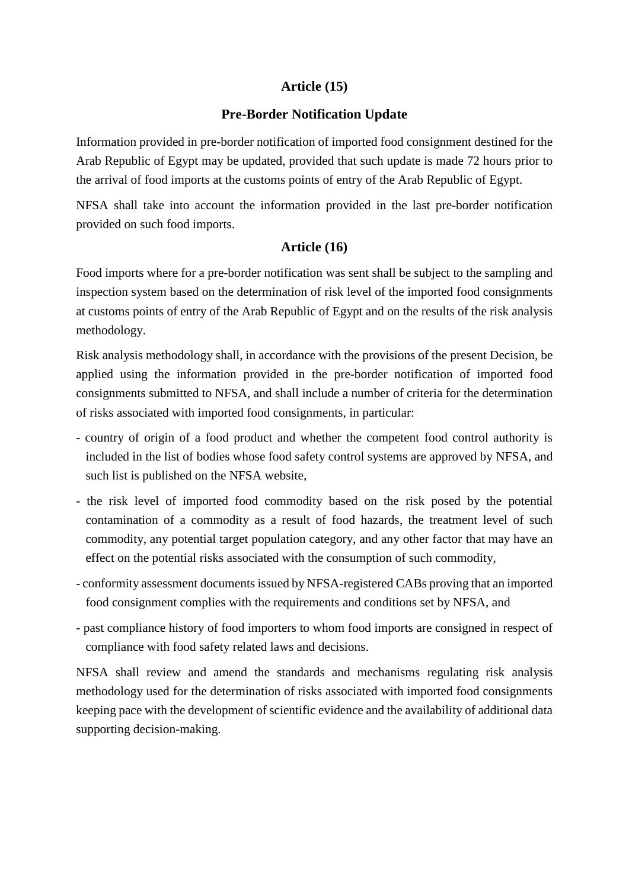# **Article (15)**

### **Pre-Border Notification Update**

Information provided in pre-border notification of imported food consignment destined for the Arab Republic of Egypt may be updated, provided that such update is made 72 hours prior to the arrival of food imports at the customs points of entry of the Arab Republic of Egypt.

NFSA shall take into account the information provided in the last pre-border notification provided on such food imports.

### **Article (16)**

Food imports where for a pre-border notification was sent shall be subject to the sampling and inspection system based on the determination of risk level of the imported food consignments at customs points of entry of the Arab Republic of Egypt and on the results of the risk analysis methodology.

Risk analysis methodology shall, in accordance with the provisions of the present Decision, be applied using the information provided in the pre-border notification of imported food consignments submitted to NFSA, and shall include a number of criteria for the determination of risks associated with imported food consignments, in particular:

- country of origin of a food product and whether the competent food control authority is included in the list of bodies whose food safety control systems are approved by NFSA, and such list is published on the NFSA website,
- the risk level of imported food commodity based on the risk posed by the potential contamination of a commodity as a result of food hazards, the treatment level of such commodity, any potential target population category, and any other factor that may have an effect on the potential risks associated with the consumption of such commodity,
- conformity assessment documents issued by NFSA-registered CABs proving that an imported food consignment complies with the requirements and conditions set by NFSA, and
- past compliance history of food importers to whom food imports are consigned in respect of compliance with food safety related laws and decisions.

NFSA shall review and amend the standards and mechanisms regulating risk analysis methodology used for the determination of risks associated with imported food consignments keeping pace with the development of scientific evidence and the availability of additional data supporting decision-making.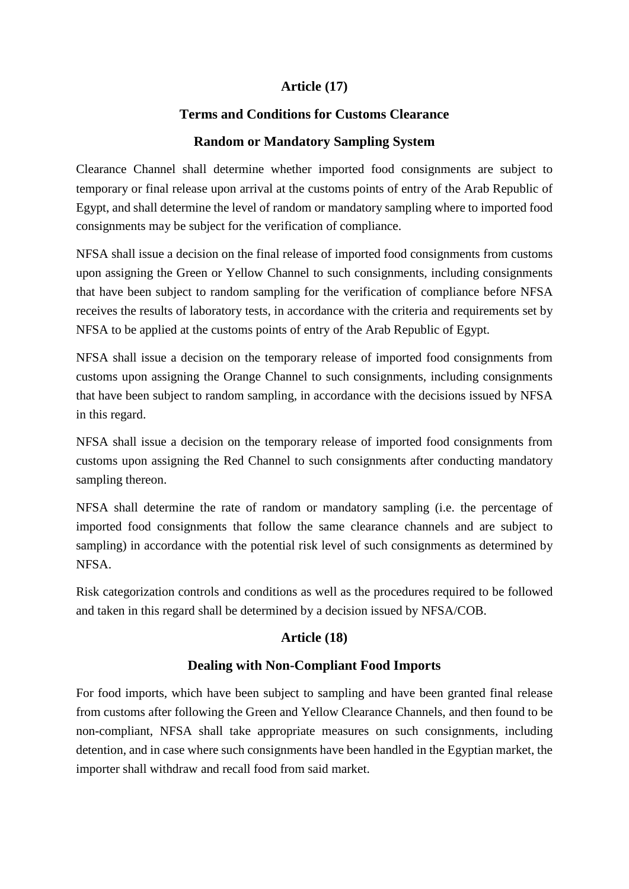# **Article (17)**

#### **Terms and Conditions for Customs Clearance**

### **Random or Mandatory Sampling System**

Clearance Channel shall determine whether imported food consignments are subject to temporary or final release upon arrival at the customs points of entry of the Arab Republic of Egypt, and shall determine the level of random or mandatory sampling where to imported food consignments may be subject for the verification of compliance.

NFSA shall issue a decision on the final release of imported food consignments from customs upon assigning the Green or Yellow Channel to such consignments, including consignments that have been subject to random sampling for the verification of compliance before NFSA receives the results of laboratory tests, in accordance with the criteria and requirements set by NFSA to be applied at the customs points of entry of the Arab Republic of Egypt.

NFSA shall issue a decision on the temporary release of imported food consignments from customs upon assigning the Orange Channel to such consignments, including consignments that have been subject to random sampling, in accordance with the decisions issued by NFSA in this regard.

NFSA shall issue a decision on the temporary release of imported food consignments from customs upon assigning the Red Channel to such consignments after conducting mandatory sampling thereon.

NFSA shall determine the rate of random or mandatory sampling (i.e. the percentage of imported food consignments that follow the same clearance channels and are subject to sampling) in accordance with the potential risk level of such consignments as determined by NFSA.

Risk categorization controls and conditions as well as the procedures required to be followed and taken in this regard shall be determined by a decision issued by NFSA/COB.

### **Article (18)**

#### **Dealing with Non-Compliant Food Imports**

For food imports, which have been subject to sampling and have been granted final release from customs after following the Green and Yellow Clearance Channels, and then found to be non-compliant, NFSA shall take appropriate measures on such consignments, including detention, and in case where such consignments have been handled in the Egyptian market, the importer shall withdraw and recall food from said market.